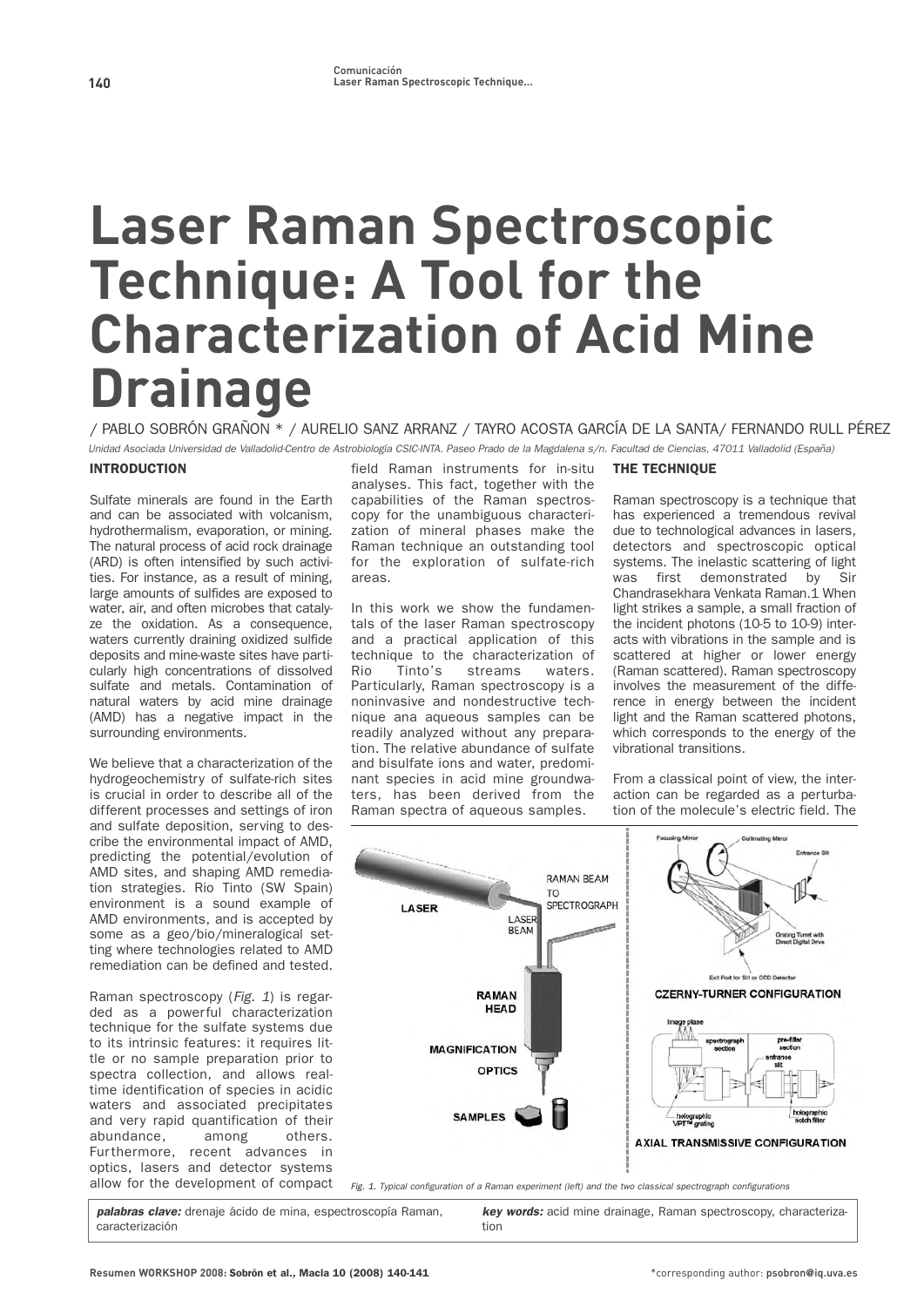# **Laser Raman Spectroscopic Technique: A Tool for the Characterization of Acid Mine Drainage**

# **/ PABLO SOBRÓN GRAÑON \* / AURELIO SANZ ARRANZ / TAYRO ACOSTA GARCÍA DE LA SANTA/ FERNANDO RULL PÉREZ**

Unidad Asociada Universidad de Valladolid-Centro de Astrobiología CSIC-INTA. Paseo Prado de la Magdalena s/n. Facultad de Ciencias, 47011 Valladolid (España)

## INTRODUCTION

**Sulfate minerals are found in the Earth and can be associated with volcanism, hydrothermalism, evaporation, or mining. The natural process of acid rock drainage (ARD) is often intensified by such activities. For instance, as a result of mining, large amounts of sulfides are exposed to water, air, and often microbes that catalyze the oxidation. As a consequence, waters currently draining oxidized sulfide deposits and mine-waste sites have particularly high concentrations of dissolved sulfate and metals. Contamination of natural waters by acid mine drainage (AMD) has a negative impact in the surrounding environments.**

**We believe that a characterization of the hydrogeochemistry of sulfate-rich sites is crucial in order to describe all of the different processes and settings of iron and sulfate deposition, serving to describe the environmental impact of AMD, predicting the potential/evolution of AMD sites, and shaping AMD remediation strategies. Rio Tinto (SW Spain) environment is a sound example of AMD environments, and is accepted by some as a geo/bio/mineralogical setting where technologies related to AMD remediation can be defined and tested.**

Raman spectroscopy (Fig. 1) is regar**ded as a powerful characterization technique for the sulfate systems due to its intrinsic features: it requires little or no sample preparation prior to spectra collection, and allows realtime identification of species in acidic waters and associated precipitates and very rapid quantification of their abundance, among others. Furthermore, recent advances in optics, lasers and detector systems allow for the development of compact** **field Raman instruments for in-situ analyses. This fact, together with the capabilities of the Raman spectroscopy for the unambiguous characterization of mineral phases make the Raman technique an outstanding tool for the exploration of sulfate-rich areas.**

**In this work we show the fundamentals of the laser Raman spectroscopy and a practical application of this technique to the characterization of Rio Tinto's streams waters. Particularly, Raman spectroscopy is a noninvasive and nondestructive technique ana aqueous samples can be readily analyzed without any preparation. The relative abundance of sulfate and bisulfate ions and water, predominant species in acid mine groundwaters, has been derived from the Raman spectra of aqueous samples.**

#### THE TECHNIQUE

**Raman spectroscopy is a technique that has experienced a tremendous revival due to technological advances in lasers, detectors and spectroscopic optical systems. The inelastic scattering of light was first demonstrated by Sir Chandrasekhara Venkata Raman.1 When light strikes a sample, a small fraction of the incident photons (10-5 to 10-9) interacts with vibrations in the sample and is scattered at higher or lower energy (Raman scattered). Raman spectroscopy involves the measurement of the difference in energy between the incident light and the Raman scattered photons, which corresponds to the energy of the vibrational transitions.** 

**From a classical point of view, the interaction can be regarded as a perturbation of the molecule's electric field. The**



Fig. 1. Typical configuration of a Raman experiment (left) and the two classical spectrograph configurations

**palabras clave: drenaje ácido de mina, espectroscopía Raman, caracterización**

**key words: acid mine drainage, Raman spectroscopy, characterization**